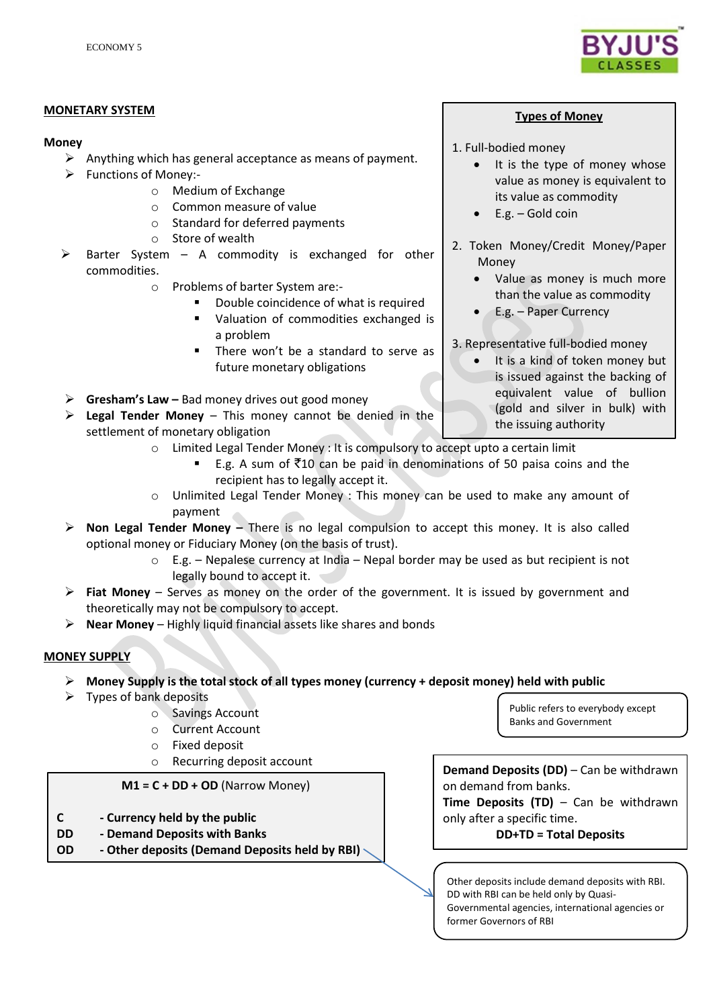

#### **MONETARY SYSTEM**

#### **Money**

- $\triangleright$  Anything which has general acceptance as means of payment.
- Functions of Money:
	- o Medium of Exchange
	- o Common measure of value
	- o Standard for deferred payments
	- o Store of wealth
- Barter System A commodity is exchanged for other commodities.
	- o Problems of barter System are:-
		- Double coincidence of what is required
		- Valuation of commodities exchanged is a problem
		- There won't be a standard to serve as future monetary obligations

**Gresham's Law –** Bad money drives out good money

- **Legal Tender Money**  This money cannot be denied in the settlement of monetary obligation
	- o Limited Legal Tender Money : It is compulsory to accept upto a certain limit
		- E.g. A sum of  $\bar{z}$ 10 can be paid in denominations of 50 paisa coins and the recipient has to legally accept it.
	- o Unlimited Legal Tender Money : This money can be used to make any amount of payment
- **Non Legal Tender Money –** There is no legal compulsion to accept this money. It is also called optional money or Fiduciary Money (on the basis of trust).
	- $\circ$  E.g. Nepalese currency at India Nepal border may be used as but recipient is not legally bound to accept it.
- **Fiat Money**  Serves as money on the order of the government. It is issued by government and theoretically may not be compulsory to accept.
- **Near Money**  Highly liquid financial assets like shares and bonds

## **MONEY SUPPLY**

- **Money Supply is the total stock of all types money (currency + deposit money) held with public**
- $\triangleright$  Types of bank deposits
	- o Savings Account
	- o Current Account
	- o Fixed deposit
	- o Recurring deposit account

## **M1 = C + DD + OD** (Narrow Money)

- **C - Currency held by the public**
- **DD - Demand Deposits with Banks**
- **OD - Other deposits (Demand Deposits held by RBI)**

Public refers to everybody except Banks and Government

**Demand Deposits (DD)** – Can be withdrawn on demand from banks. **Time Deposits (TD)** – Can be withdrawn only after a specific time. **DD+TD = Total Deposits**

Other deposits include demand deposits with RBI. DD with RBI can be held only by Quasi-Governmental agencies, international agencies or former Governors of RBI

## **Types of Money**

- 1. Full-bodied money
	- It is the type of money whose value as money is equivalent to its value as commodity
	- E.g. Gold coin
- 2. Token Money/Credit Money/Paper Money
	- Value as money is much more than the value as commodity
	- E.g. Paper Currency

3. Representative full-bodied money

 It is a kind of token money but is issued against the backing of equivalent value of bullion (gold and silver in bulk) with the issuing authority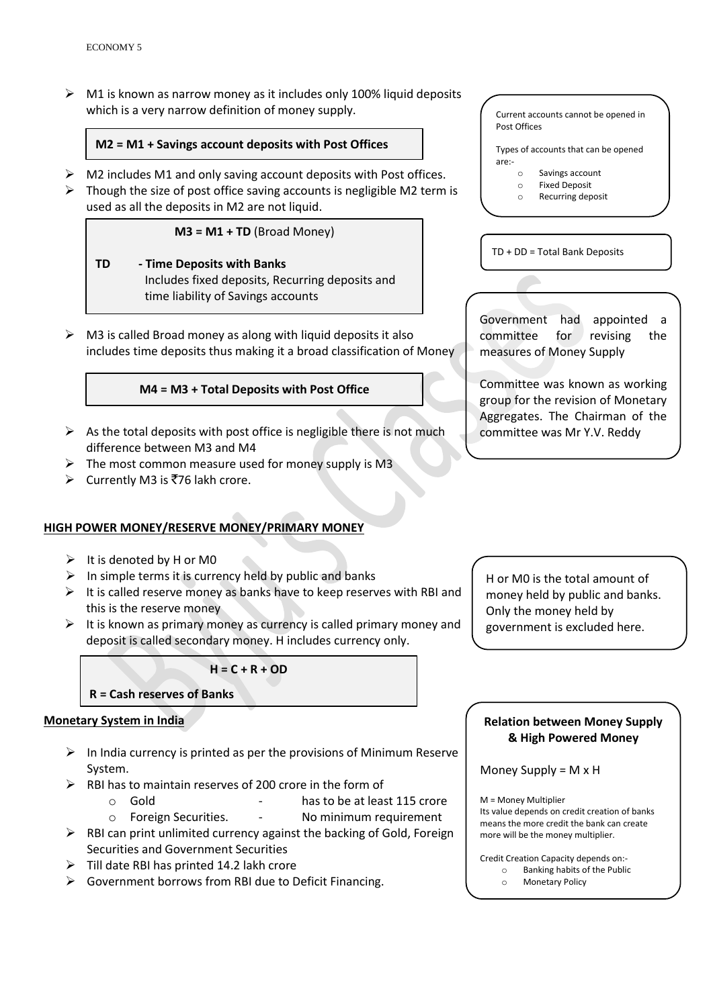$\triangleright$  M1 is known as narrow money as it includes only 100% liquid deposits which is a very narrow definition of money supply.

## **M2 = M1 + Savings account deposits with Post Offices**

- $\triangleright$  M2 includes M1 and only saving account deposits with Post offices.
- $\triangleright$  Though the size of post office saving accounts is negligible M2 term is used as all the deposits in M2 are not liquid.

#### $M3 = M1 + TD$  (Broad Money)

- **TD - Time Deposits with Banks** Includes fixed deposits, Recurring deposits and time liability of Savings accounts
- $\triangleright$  M3 is called Broad money as along with liquid deposits it also includes time deposits thus making it a broad classification of Money

#### **M4 = M3 + Total Deposits with Post Office**

- $\triangleright$  As the total deposits with post office is negligible there is not much difference between M3 and M4
- $\triangleright$  The most common measure used for money supply is M3
- $\triangleright$  Currently M3 is ₹76 lakh crore.

## **HIGH POWER MONEY/RESERVE MONEY/PRIMARY MONEY**

- $\triangleright$  It is denoted by H or M0
- $\triangleright$  In simple terms it is currency held by public and banks
- $\triangleright$  It is called reserve money as banks have to keep reserves with RBI and this is the reserve money
- $\triangleright$  It is known as primary money as currency is called primary money and deposit is called secondary money. H includes currency only.

**H = C + R + OD**

#### **R = Cash reserves of Banks**

#### **Monetary System in India**

- $\triangleright$  In India currency is printed as per the provisions of Minimum Reserve System.
- $\triangleright$  RBI has to maintain reserves of 200 crore in the form of
	- o Gold has to be at least 115 crore
	- o Foreign Securities. No minimum requirement
- $\triangleright$  RBI can print unlimited currency against the backing of Gold, Foreign Securities and Government Securities
- $\triangleright$  Till date RBI has printed 14.2 lakh crore
- $\triangleright$  Government borrows from RBI due to Deficit Financing.

# Types of accounts that can be opened are: o Savings account o Fixed Deposit o Recurring deposit TD + DD = Total Bank Deposits

Current accounts cannot be opened in

Post Offices

Government had appointed a committee for revising the measures of Money Supply

Committee was known as working group for the revision of Monetary Aggregates. The Chairman of the committee was Mr Y.V. Reddy

H or M0 is the total amount of money held by public and banks. Only the money held by government is excluded here.

# **Relation between Money Supply & High Powered Money**

Money Supply = M x H

M = Money Multiplier Its value depends on credit creation of banks means the more credit the bank can create more will be the money multiplier.

Credit Creation Capacity depends on: o Banking habits of the Public o Monetary Policy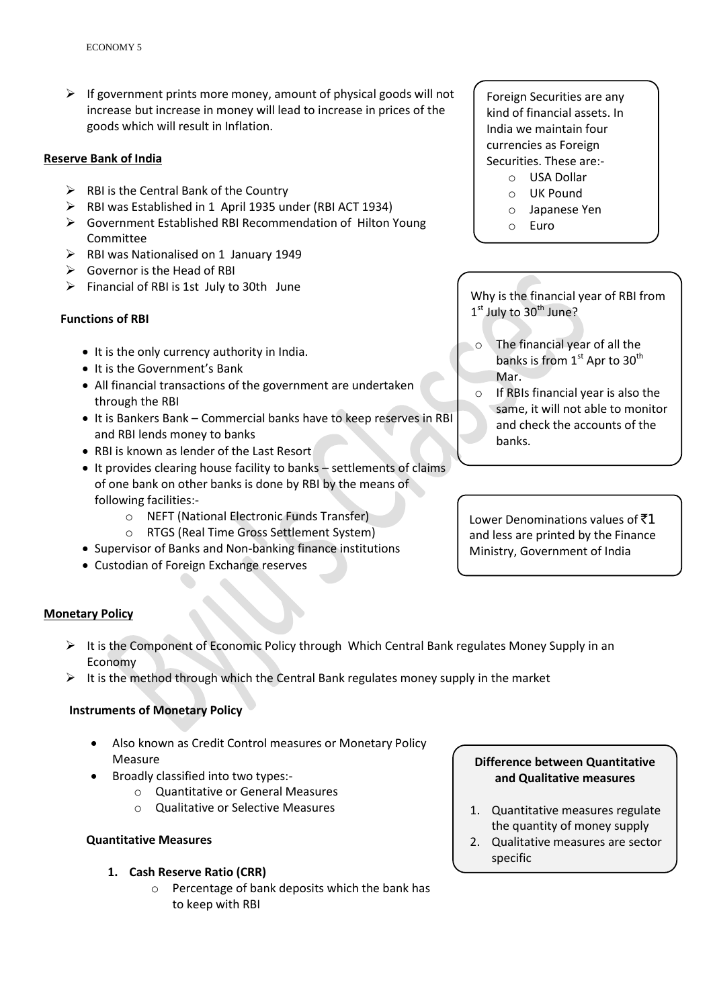$\triangleright$  If government prints more money, amount of physical goods will not increase but increase in money will lead to increase in prices of the goods which will result in Inflation.

#### **Reserve Bank of India**

- $\triangleright$  RBI is the Central Bank of the Country
- RBI was Established in 1 April 1935 under (RBI ACT 1934)
- Government Established RBI Recommendation of Hilton Young Committee
- $\triangleright$  RBI was Nationalised on 1 January 1949
- $\triangleright$  Governor is the Head of RBI
- $\triangleright$  Financial of RBI is 1st July to 30th June

## **Functions of RBI**

- It is the only currency authority in India.
- It is the Government's Bank
- All financial transactions of the government are undertaken through the RBI
- It is Bankers Bank Commercial banks have to keep reserves in RBI and RBI lends money to banks
- RBI is known as lender of the Last Resort
- It provides clearing house facility to banks settlements of claims of one bank on other banks is done by RBI by the means of following facilities:
	- o NEFT (National Electronic Funds Transfer)
	- o RTGS (Real Time Gross Settlement System)
- Supervisor of Banks and Non-banking finance institutions
- Custodian of Foreign Exchange reserves

Foreign Securities are any kind of financial assets. In India we maintain four currencies as Foreign Securities. These are:-

- o USA Dollar
- o UK Pound
- o Japanese Yen
- o Euro

Why is the financial year of RBI from 1<sup>st</sup> July to 30<sup>th</sup> June?

- o The financial year of all the banks is from 1<sup>st</sup> Apr to 30<sup>th</sup> Mar.
- o If RBIs financial year is also the same, it will not able to monitor and check the accounts of the banks.

Lower Denominations values of  $\bar{z}1$ and less are printed by the Finance Ministry, Government of India

## **Monetary Policy**

- $\triangleright$  It is the Component of Economic Policy through Which Central Bank regulates Money Supply in an Economy
- $\triangleright$  It is the method through which the Central Bank regulates money supply in the market

## **Instruments of Monetary Policy**

- Also known as Credit Control measures or Monetary Policy Measure
- Broadly classified into two types:
	- o Quantitative or General Measures
	- o Qualitative or Selective Measures

## **Quantitative Measures**

## **1. Cash Reserve Ratio (CRR)**

o Percentage of bank deposits which the bank has to keep with RBI

# **Difference between Quantitative and Qualitative measures**

- 1. Quantitative measures regulate the quantity of money supply
- 2. Qualitative measures are sector specific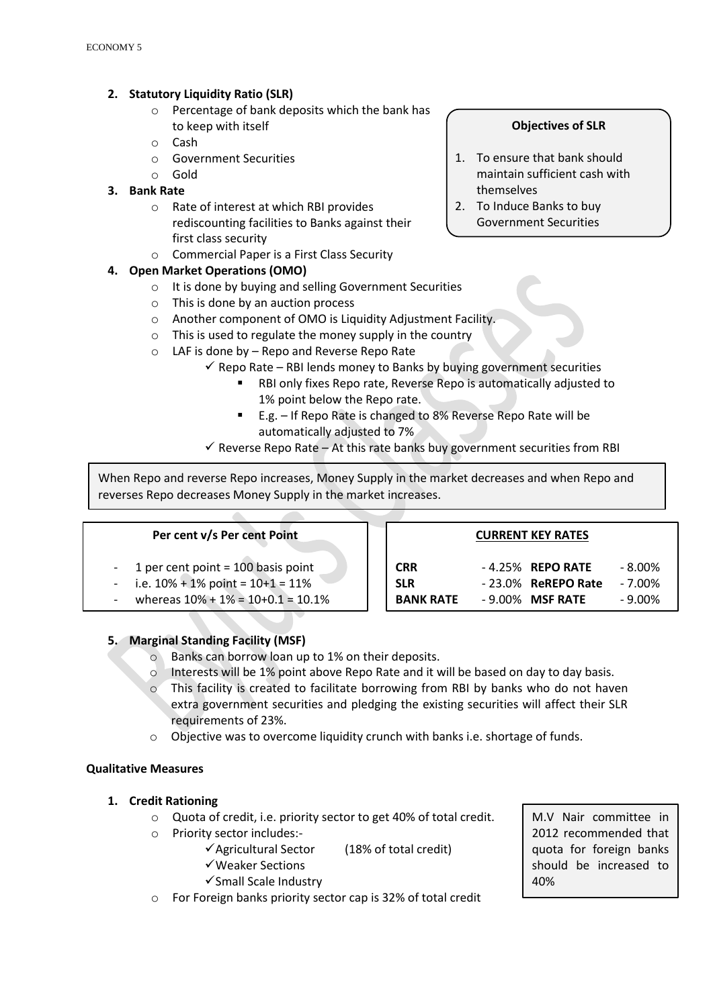# **2. Statutory Liquidity Ratio (SLR)**

- o Percentage of bank deposits which the bank has to keep with itself
- o Cash
- o Government Securities
- o Gold

# **3. Bank Rate**

- o Rate of interest at which RBI provides rediscounting facilities to Banks against their first class security
- o Commercial Paper is a First Class Security

# **4. Open Market Operations (OMO)**

- o It is done by buying and selling Government Securities
- o This is done by an auction process
- o Another component of OMO is Liquidity Adjustment Facility.
- $\circ$  This is used to regulate the money supply in the country
- o LAF is done by Repo and Reverse Repo Rate
	- $\checkmark$  Repo Rate RBI lends money to Banks by buying government securities
		- RBI only fixes Repo rate, Reverse Repo is automatically adjusted to 1% point below the Repo rate.
		- E.g. If Repo Rate is changed to 8% Reverse Repo Rate will be automatically adjusted to 7%
	- $\checkmark$  Reverse Repo Rate At this rate banks buy government securities from RBI

When Repo and reverse Repo increases, Money Supply in the market decreases and when Repo and reverses Repo decreases Money Supply in the market increases.

## **Per cent v/s Per cent Point**

- 1 per cent point  $= 100$  basis point
- $i.e. 10\% + 1\%$  point =  $10+1 = 11\%$
- whereas  $10\% + 1\% = 10+0.1 = 10.1\%$

| <b>CURRENT KEY RATES</b> |  |                                                                    |
|--------------------------|--|--------------------------------------------------------------------|
|                          |  | - 8.00%                                                            |
|                          |  | - 7.00%                                                            |
|                          |  | $-9.00\%$                                                          |
|                          |  | $-4.25\%$ REPO RATE<br>$-23.0\%$ ReREPO Rate<br>$-9.00\%$ MSF RATE |

## **5. Marginal Standing Facility (MSF)**

- o Banks can borrow loan up to 1% on their deposits.
- o Interests will be 1% point above Repo Rate and it will be based on day to day basis.
- $\circ$  This facility is created to facilitate borrowing from RBI by banks who do not haven extra government securities and pledging the existing securities will affect their SLR requirements of 23%.
- o Objective was to overcome liquidity crunch with banks i.e. shortage of funds.

## **Qualitative Measures**

- **1. Credit Rationing** 
	- o Quota of credit, i.e. priority sector to get 40% of total credit.
	- o Priority sector includes:-
		- $\checkmark$  Agricultural Sector (18% of total credit)
		- Weaker Sections
		- $\checkmark$ Small Scale Industry
	- o For Foreign banks priority sector cap is 32% of total credit

M.V Nair committee in 2012 recommended that quota for foreign banks should be increased to 40%

# **Objectives of SLR**

- 1. To ensure that bank should maintain sufficient cash with themselves
- 2. To Induce Banks to buy Government Securities